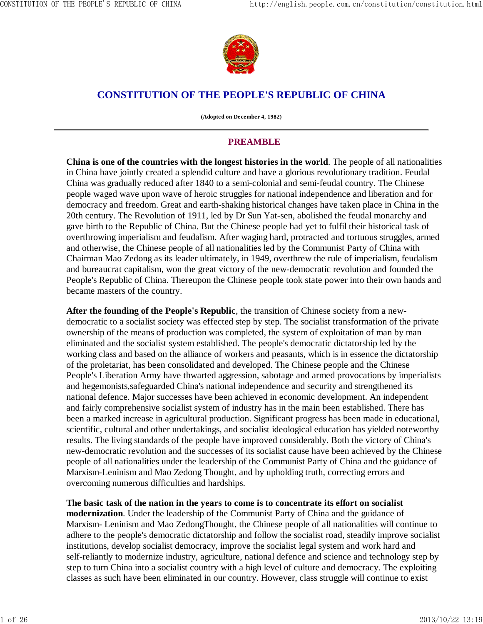

# **CONSTITUTION OF THE PEOPLE'S REPUBLIC OF CHINA**

**(Adopted on December 4, 1982)**

## **PREAMBLE**

**China is one of the countries with the longest histories in the world**. The people of all nationalities in China have jointly created a splendid culture and have a glorious revolutionary tradition. Feudal China was gradually reduced after 1840 to a semi-colonial and semi-feudal country. The Chinese people waged wave upon wave of heroic struggles for national independence and liberation and for democracy and freedom. Great and earth-shaking historical changes have taken place in China in the 20th century. The Revolution of 1911, led by Dr Sun Yat-sen, abolished the feudal monarchy and gave birth to the Republic of China. But the Chinese people had yet to fulfil their historical task of overthrowing imperialism and feudalism. After waging hard, protracted and tortuous struggles, armed and otherwise, the Chinese people of all nationalities led by the Communist Party of China with Chairman Mao Zedong as its leader ultimately, in 1949, overthrew the rule of imperialism, feudalism and bureaucrat capitalism, won the great victory of the new-democratic revolution and founded the People's Republic of China. Thereupon the Chinese people took state power into their own hands and became masters of the country.

**After the founding of the People's Republic**, the transition of Chinese society from a newdemocratic to a socialist society was effected step by step. The socialist transformation of the private ownership of the means of production was completed, the system of exploitation of man by man eliminated and the socialist system established. The people's democratic dictatorship led by the working class and based on the alliance of workers and peasants, which is in essence the dictatorship of the proletariat, has been consolidated and developed. The Chinese people and the Chinese People's Liberation Army have thwarted aggression, sabotage and armed provocations by imperialists and hegemonists,safeguarded China's national independence and security and strengthened its national defence. Major successes have been achieved in economic development. An independent and fairly comprehensive socialist system of industry has in the main been established. There has been a marked increase in agricultural production. Significant progress has been made in educational, scientific, cultural and other undertakings, and socialist ideological education has yielded noteworthy results. The living standards of the people have improved considerably. Both the victory of China's new-democratic revolution and the successes of its socialist cause have been achieved by the Chinese people of all nationalities under the leadership of the Communist Party of China and the guidance of Marxism-Leninism and Mao Zedong Thought, and by upholding truth, correcting errors and overcoming numerous difficulties and hardships.

**The basic task of the nation in the years to come is to concentrate its effort on socialist**

**modernization**. Under the leadership of the Communist Party of China and the guidance of Marxism- Leninism and Mao ZedongThought, the Chinese people of all nationalities will continue to adhere to the people's democratic dictatorship and follow the socialist road, steadily improve socialist institutions, develop socialist democracy, improve the socialist legal system and work hard and self-reliantly to modernize industry, agriculture, national defence and science and technology step by step to turn China into a socialist country with a high level of culture and democracy. The exploiting classes as such have been eliminated in our country. However, class struggle will continue to exist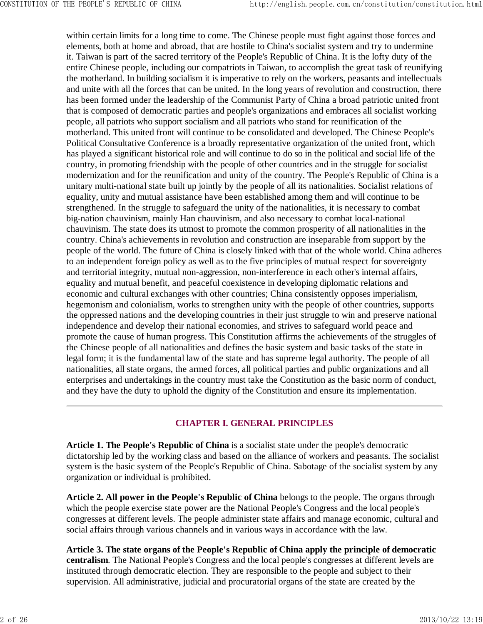within certain limits for a long time to come. The Chinese people must fight against those forces and elements, both at home and abroad, that are hostile to China's socialist system and try to undermine it. Taiwan is part of the sacred territory of the People's Republic of China. It is the lofty duty of the entire Chinese people, including our compatriots in Taiwan, to accomplish the great task of reunifying the motherland. In building socialism it is imperative to rely on the workers, peasants and intellectuals and unite with all the forces that can be united. In the long years of revolution and construction, there has been formed under the leadership of the Communist Party of China a broad patriotic united front that is composed of democratic parties and people's organizations and embraces all socialist working people, all patriots who support socialism and all patriots who stand for reunification of the motherland. This united front will continue to be consolidated and developed. The Chinese People's Political Consultative Conference is a broadly representative organization of the united front, which has played a significant historical role and will continue to do so in the political and social life of the country, in promoting friendship with the people of other countries and in the struggle for socialist modernization and for the reunification and unity of the country. The People's Republic of China is a unitary multi-national state built up jointly by the people of all its nationalities. Socialist relations of equality, unity and mutual assistance have been established among them and will continue to be strengthened. In the struggle to safeguard the unity of the nationalities, it is necessary to combat big-nation chauvinism, mainly Han chauvinism, and also necessary to combat local-national chauvinism. The state does its utmost to promote the common prosperity of all nationalities in the country. China's achievements in revolution and construction are inseparable from support by the people of the world. The future of China is closely linked with that of the whole world. China adheres to an independent foreign policy as well as to the five principles of mutual respect for sovereignty and territorial integrity, mutual non-aggression, non-interference in each other's internal affairs, equality and mutual benefit, and peaceful coexistence in developing diplomatic relations and economic and cultural exchanges with other countries; China consistently opposes imperialism, hegemonism and colonialism, works to strengthen unity with the people of other countries, supports the oppressed nations and the developing countries in their just struggle to win and preserve national independence and develop their national economies, and strives to safeguard world peace and promote the cause of human progress. This Constitution affirms the achievements of the struggles of the Chinese people of all nationalities and defines the basic system and basic tasks of the state in legal form; it is the fundamental law of the state and has supreme legal authority. The people of all nationalities, all state organs, the armed forces, all political parties and public organizations and all enterprises and undertakings in the country must take the Constitution as the basic norm of conduct, and they have the duty to uphold the dignity of the Constitution and ensure its implementation.

## **CHAPTER I. GENERAL PRINCIPLES**

**Article 1. The People's Republic of China** is a socialist state under the people's democratic dictatorship led by the working class and based on the alliance of workers and peasants. The socialist system is the basic system of the People's Republic of China. Sabotage of the socialist system by any organization or individual is prohibited.

**Article 2. All power in the People's Republic of China** belongs to the people. The organs through which the people exercise state power are the National People's Congress and the local people's congresses at different levels. The people administer state affairs and manage economic, cultural and social affairs through various channels and in various ways in accordance with the law.

**Article 3. The state organs of the People's Republic of China apply the principle of democratic centralism**. The National People's Congress and the local people's congresses at different levels are instituted through democratic election. They are responsible to the people and subject to their supervision. All administrative, judicial and procuratorial organs of the state are created by the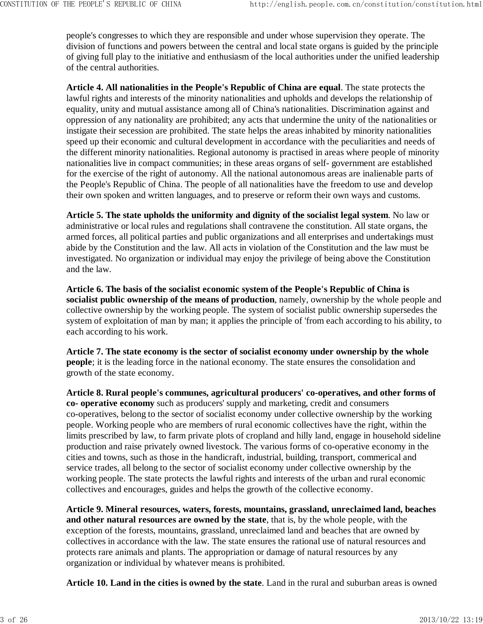people's congresses to which they are responsible and under whose supervision they operate. The division of functions and powers between the central and local state organs is guided by the principle of giving full play to the initiative and enthusiasm of the local authorities under the unified leadership of the central authorities.

**Article 4. All nationalities in the People's Republic of China are equal**. The state protects the lawful rights and interests of the minority nationalities and upholds and develops the relationship of equality, unity and mutual assistance among all of China's nationalities. Discrimination against and oppression of any nationality are prohibited; any acts that undermine the unity of the nationalities or instigate their secession are prohibited. The state helps the areas inhabited by minority nationalities speed up their economic and cultural development in accordance with the peculiarities and needs of the different minority nationalities. Regional autonomy is practised in areas where people of minority nationalities live in compact communities; in these areas organs of self- government are established for the exercise of the right of autonomy. All the national autonomous areas are inalienable parts of the People's Republic of China. The people of all nationalities have the freedom to use and develop their own spoken and written languages, and to preserve or reform their own ways and customs.

**Article 5. The state upholds the uniformity and dignity of the socialist legal system**. No law or administrative or local rules and regulations shall contravene the constitution. All state organs, the armed forces, all political parties and public organizations and all enterprises and undertakings must abide by the Constitution and the law. All acts in violation of the Constitution and the law must be investigated. No organization or individual may enjoy the privilege of being above the Constitution and the law.

**Article 6. The basis of the socialist economic system of the People's Republic of China is socialist public ownership of the means of production**, namely, ownership by the whole people and collective ownership by the working people. The system of socialist public ownership supersedes the system of exploitation of man by man; it applies the principle of 'from each according to his ability, to each according to his work.

**Article 7. The state economy is the sector of socialist economy under ownership by the whole people**; it is the leading force in the national economy. The state ensures the consolidation and growth of the state economy.

**Article 8. Rural people's communes, agricultural producers' co-operatives, and other forms of co- operative economy** such as producers' supply and marketing, credit and consumers co-operatives, belong to the sector of socialist economy under collective ownership by the working people. Working people who are members of rural economic collectives have the right, within the limits prescribed by law, to farm private plots of cropland and hilly land, engage in household sideline production and raise privately owned livestock. The various forms of co-operative economy in the cities and towns, such as those in the handicraft, industrial, building, transport, commerical and service trades, all belong to the sector of socialist economy under collective ownership by the working people. The state protects the lawful rights and interests of the urban and rural economic collectives and encourages, guides and helps the growth of the collective economy.

**Article 9. Mineral resources, waters, forests, mountains, grassland, unreclaimed land, beaches and other natural resources are owned by the state**, that is, by the whole people, with the exception of the forests, mountains, grassland, unreclaimed land and beaches that are owned by collectives in accordance with the law. The state ensures the rational use of natural resources and protects rare animals and plants. The appropriation or damage of natural resources by any organization or individual by whatever means is prohibited.

**Article 10. Land in the cities is owned by the state**. Land in the rural and suburban areas is owned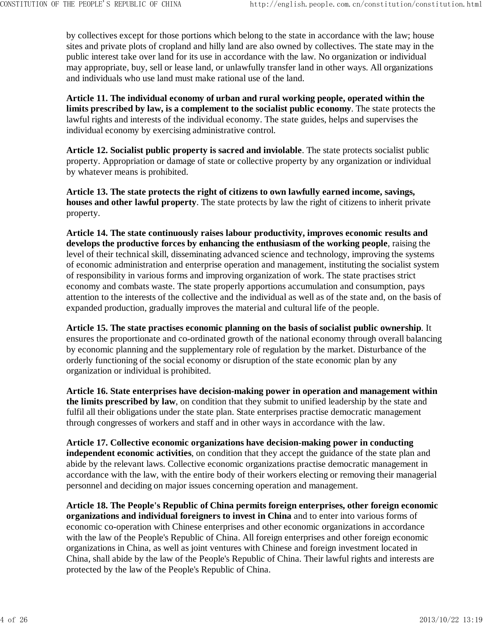by collectives except for those portions which belong to the state in accordance with the law; house sites and private plots of cropland and hilly land are also owned by collectives. The state may in the public interest take over land for its use in accordance with the law. No organization or individual may appropriate, buy, sell or lease land, or unlawfully transfer land in other ways. All organizations and individuals who use land must make rational use of the land.

**Article 11. The individual economy of urban and rural working people, operated within the limits prescribed by law, is a complement to the socialist public economy**. The state protects the lawful rights and interests of the individual economy. The state guides, helps and supervises the individual economy by exercising administrative control.

**Article 12. Socialist public property is sacred and inviolable**. The state protects socialist public property. Appropriation or damage of state or collective property by any organization or individual by whatever means is prohibited.

**Article 13. The state protects the right of citizens to own lawfully earned income, savings, houses and other lawful property**. The state protects by law the right of citizens to inherit private property.

**Article 14. The state continuously raises labour productivity, improves economic results and develops the productive forces by enhancing the enthusiasm of the working people**, raising the level of their technical skill, disseminating advanced science and technology, improving the systems of economic administration and enterprise operation and management, instituting the socialist system of responsibility in various forms and improving organization of work. The state practises strict economy and combats waste. The state properly apportions accumulation and consumption, pays attention to the interests of the collective and the individual as well as of the state and, on the basis of expanded production, gradually improves the material and cultural life of the people.

**Article 15. The state practises economic planning on the basis of socialist public ownership**. It ensures the proportionate and co-ordinated growth of the national economy through overall balancing by economic planning and the supplementary role of regulation by the market. Disturbance of the orderly functioning of the social economy or disruption of the state economic plan by any organization or individual is prohibited.

**Article 16. State enterprises have decision-making power in operation and management within the limits prescribed by law**, on condition that they submit to unified leadership by the state and fulfil all their obligations under the state plan. State enterprises practise democratic management through congresses of workers and staff and in other ways in accordance with the law.

**Article 17. Collective economic organizations have decision-making power in conducting independent economic activities**, on condition that they accept the guidance of the state plan and abide by the relevant laws. Collective economic organizations practise democratic management in accordance with the law, with the entire body of their workers electing or removing their managerial personnel and deciding on major issues concerning operation and management.

**Article 18. The People's Republic of China permits foreign enterprises, other foreign economic organizations and individual foreigners to invest in China** and to enter into various forms of economic co-operation with Chinese enterprises and other economic organizations in accordance with the law of the People's Republic of China. All foreign enterprises and other foreign economic organizations in China, as well as joint ventures with Chinese and foreign investment located in China, shall abide by the law of the People's Republic of China. Their lawful rights and interests are protected by the law of the People's Republic of China.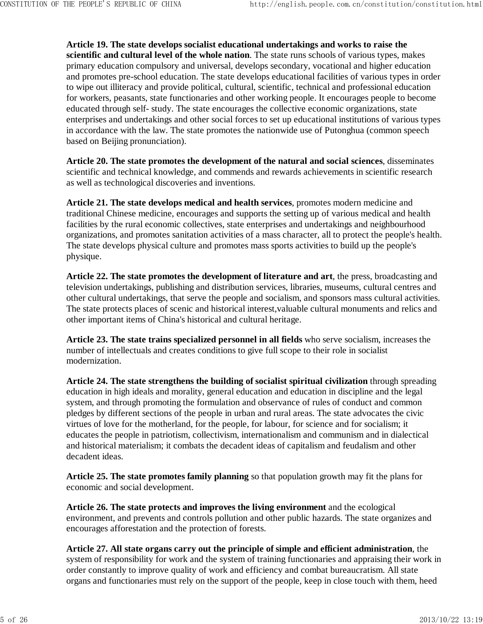**Article 19. The state develops socialist educational undertakings and works to raise the scientific and cultural level of the whole nation**. The state runs schools of various types, makes primary education compulsory and universal, develops secondary, vocational and higher education and promotes pre-school education. The state develops educational facilities of various types in order to wipe out illiteracy and provide political, cultural, scientific, technical and professional education for workers, peasants, state functionaries and other working people. It encourages people to become educated through self- study. The state encourages the collective economic organizations, state enterprises and undertakings and other social forces to set up educational institutions of various types in accordance with the law. The state promotes the nationwide use of Putonghua (common speech based on Beijing pronunciation).

**Article 20. The state promotes the development of the natural and social sciences**, disseminates scientific and technical knowledge, and commends and rewards achievements in scientific research as well as technological discoveries and inventions.

**Article 21. The state develops medical and health services**, promotes modern medicine and traditional Chinese medicine, encourages and supports the setting up of various medical and health facilities by the rural economic collectives, state enterprises and undertakings and neighbourhood organizations, and promotes sanitation activities of a mass character, all to protect the people's health. The state develops physical culture and promotes mass sports activities to build up the people's physique.

**Article 22. The state promotes the development of literature and art**, the press, broadcasting and television undertakings, publishing and distribution services, libraries, museums, cultural centres and other cultural undertakings, that serve the people and socialism, and sponsors mass cultural activities. The state protects places of scenic and historical interest,valuable cultural monuments and relics and other important items of China's historical and cultural heritage.

**Article 23. The state trains specialized personnel in all fields** who serve socialism, increases the number of intellectuals and creates conditions to give full scope to their role in socialist modernization.

**Article 24. The state strengthens the building of socialist spiritual civilization** through spreading education in high ideals and morality, general education and education in discipline and the legal system, and through promoting the formulation and observance of rules of conduct and common pledges by different sections of the people in urban and rural areas. The state advocates the civic virtues of love for the motherland, for the people, for labour, for science and for socialism; it educates the people in patriotism, collectivism, internationalism and communism and in dialectical and historical materialism; it combats the decadent ideas of capitalism and feudalism and other decadent ideas.

**Article 25. The state promotes family planning** so that population growth may fit the plans for economic and social development.

**Article 26. The state protects and improves the living environment** and the ecological environment, and prevents and controls pollution and other public hazards. The state organizes and encourages afforestation and the protection of forests.

**Article 27. All state organs carry out the principle of simple and efficient administration**, the system of responsibility for work and the system of training functionaries and appraising their work in order constantly to improve quality of work and efficiency and combat bureaucratism. All state organs and functionaries must rely on the support of the people, keep in close touch with them, heed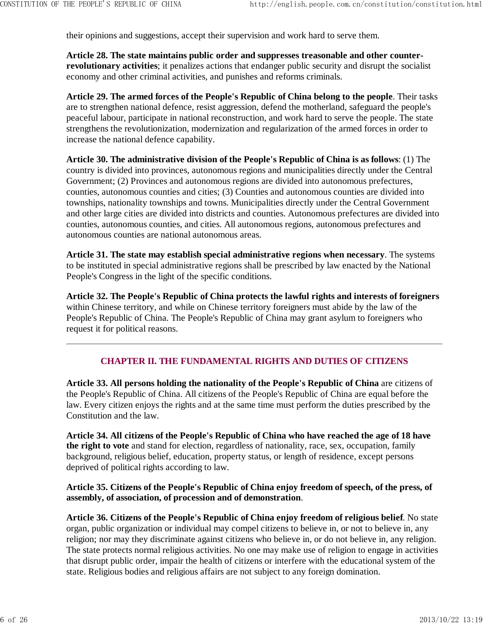their opinions and suggestions, accept their supervision and work hard to serve them.

**Article 28. The state maintains public order and suppresses treasonable and other counterrevolutionary activities**; it penalizes actions that endanger public security and disrupt the socialist economy and other criminal activities, and punishes and reforms criminals.

**Article 29. The armed forces of the People's Republic of China belong to the people**. Their tasks are to strengthen national defence, resist aggression, defend the motherland, safeguard the people's peaceful labour, participate in national reconstruction, and work hard to serve the people. The state strengthens the revolutionization, modernization and regularization of the armed forces in order to increase the national defence capability.

**Article 30. The administrative division of the People's Republic of China is as follows**: (1) The country is divided into provinces, autonomous regions and municipalities directly under the Central Government; (2) Provinces and autonomous regions are divided into autonomous prefectures, counties, autonomous counties and cities; (3) Counties and autonomous counties are divided into townships, nationality townships and towns. Municipalities directly under the Central Government and other large cities are divided into districts and counties. Autonomous prefectures are divided into counties, autonomous counties, and cities. All autonomous regions, autonomous prefectures and autonomous counties are national autonomous areas.

**Article 31. The state may establish special administrative regions when necessary**. The systems to be instituted in special administrative regions shall be prescribed by law enacted by the National People's Congress in the light of the specific conditions.

**Article 32. The People's Republic of China protects the lawful rights and interests of foreigners** within Chinese territory, and while on Chinese territory foreigners must abide by the law of the People's Republic of China. The People's Republic of China may grant asylum to foreigners who request it for political reasons.

## **CHAPTER II. THE FUNDAMENTAL RIGHTS AND DUTIES OF CITIZENS**

**Article 33. All persons holding the nationality of the People's Republic of China** are citizens of the People's Republic of China. All citizens of the People's Republic of China are equal before the law. Every citizen enjoys the rights and at the same time must perform the duties prescribed by the Constitution and the law.

**Article 34. All citizens of the People's Republic of China who have reached the age of 18 have the right to vote** and stand for election, regardless of nationality, race, sex, occupation, family background, religious belief, education, property status, or length of residence, except persons deprived of political rights according to law.

#### **Article 35. Citizens of the People's Republic of China enjoy freedom of speech, of the press, of assembly, of association, of procession and of demonstration**.

**Article 36. Citizens of the People's Republic of China enjoy freedom of religious belief**. No state organ, public organization or individual may compel citizens to believe in, or not to believe in, any religion; nor may they discriminate against citizens who believe in, or do not believe in, any religion. The state protects normal religious activities. No one may make use of religion to engage in activities that disrupt public order, impair the health of citizens or interfere with the educational system of the state. Religious bodies and religious affairs are not subject to any foreign domination.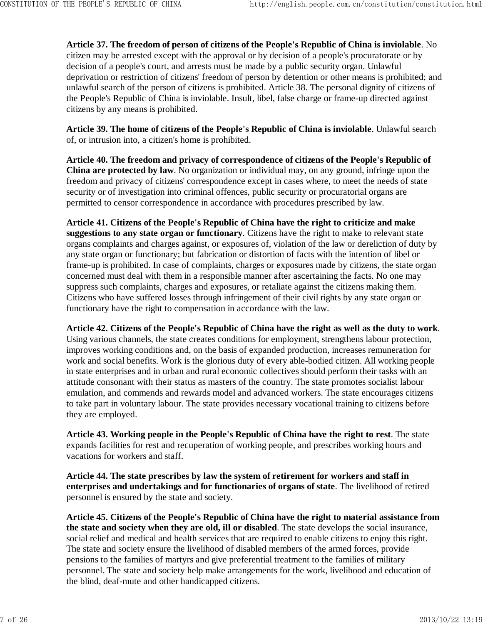**Article 37. The freedom of person of citizens of the People's Republic of China is inviolable**. No citizen may be arrested except with the approval or by decision of a people's procuratorate or by decision of a people's court, and arrests must be made by a public security organ. Unlawful deprivation or restriction of citizens' freedom of person by detention or other means is prohibited; and unlawful search of the person of citizens is prohibited. Article 38. The personal dignity of citizens of the People's Republic of China is inviolable. Insult, libel, false charge or frame-up directed against citizens by any means is prohibited.

**Article 39. The home of citizens of the People's Republic of China is inviolable**. Unlawful search of, or intrusion into, a citizen's home is prohibited.

**Article 40. The freedom and privacy of correspondence of citizens of the People's Republic of China are protected by law**. No organization or individual may, on any ground, infringe upon the freedom and privacy of citizens' correspondence except in cases where, to meet the needs of state security or of investigation into criminal offences, public security or procuratorial organs are permitted to censor correspondence in accordance with procedures prescribed by law.

**Article 41. Citizens of the People's Republic of China have the right to criticize and make suggestions to any state organ or functionary**. Citizens have the right to make to relevant state organs complaints and charges against, or exposures of, violation of the law or dereliction of duty by any state organ or functionary; but fabrication or distortion of facts with the intention of libel or frame-up is prohibited. In case of complaints, charges or exposures made by citizens, the state organ concerned must deal with them in a responsible manner after ascertaining the facts. No one may suppress such complaints, charges and exposures, or retaliate against the citizens making them. Citizens who have suffered losses through infringement of their civil rights by any state organ or functionary have the right to compensation in accordance with the law.

**Article 42. Citizens of the People's Republic of China have the right as well as the duty to work**. Using various channels, the state creates conditions for employment, strengthens labour protection, improves working conditions and, on the basis of expanded production, increases remuneration for work and social benefits. Work is the glorious duty of every able-bodied citizen. All working people in state enterprises and in urban and rural economic collectives should perform their tasks with an attitude consonant with their status as masters of the country. The state promotes socialist labour emulation, and commends and rewards model and advanced workers. The state encourages citizens to take part in voluntary labour. The state provides necessary vocational training to citizens before they are employed.

**Article 43. Working people in the People's Republic of China have the right to rest**. The state expands facilities for rest and recuperation of working people, and prescribes working hours and vacations for workers and staff.

**Article 44. The state prescribes by law the system of retirement for workers and staff in enterprises and undertakings and for functionaries of organs of state**. The livelihood of retired personnel is ensured by the state and society.

**Article 45. Citizens of the People's Republic of China have the right to material assistance from the state and society when they are old, ill or disabled**. The state develops the social insurance, social relief and medical and health services that are required to enable citizens to enjoy this right. The state and society ensure the livelihood of disabled members of the armed forces, provide pensions to the families of martyrs and give preferential treatment to the families of military personnel. The state and society help make arrangements for the work, livelihood and education of the blind, deaf-mute and other handicapped citizens.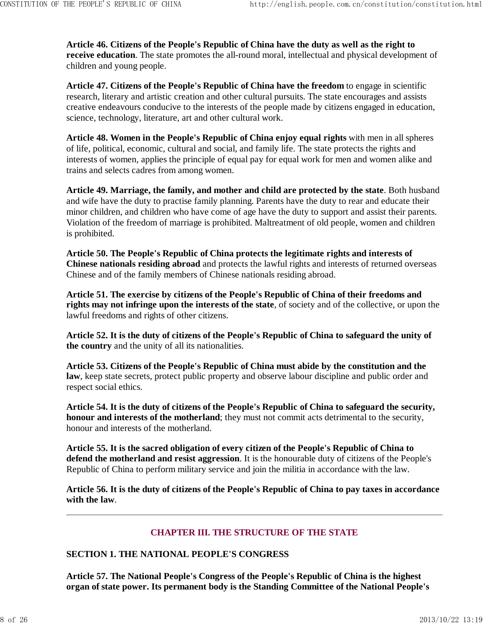**Article 46. Citizens of the People's Republic of China have the duty as well as the right to receive education**. The state promotes the all-round moral, intellectual and physical development of children and young people.

**Article 47. Citizens of the People's Republic of China have the freedom** to engage in scientific research, literary and artistic creation and other cultural pursuits. The state encourages and assists creative endeavours conducive to the interests of the people made by citizens engaged in education, science, technology, literature, art and other cultural work.

**Article 48. Women in the People's Republic of China enjoy equal rights** with men in all spheres of life, political, economic, cultural and social, and family life. The state protects the rights and interests of women, applies the principle of equal pay for equal work for men and women alike and trains and selects cadres from among women.

**Article 49. Marriage, the family, and mother and child are protected by the state**. Both husband and wife have the duty to practise family planning. Parents have the duty to rear and educate their minor children, and children who have come of age have the duty to support and assist their parents. Violation of the freedom of marriage is prohibited. Maltreatment of old people, women and children is prohibited.

**Article 50. The People's Republic of China protects the legitimate rights and interests of Chinese nationals residing abroad** and protects the lawful rights and interests of returned overseas Chinese and of the family members of Chinese nationals residing abroad.

**Article 51. The exercise by citizens of the People's Republic of China of their freedoms and rights may not infringe upon the interests of the state**, of society and of the collective, or upon the lawful freedoms and rights of other citizens.

**Article 52. It is the duty of citizens of the People's Republic of China to safeguard the unity of the country** and the unity of all its nationalities.

**Article 53. Citizens of the People's Republic of China must abide by the constitution and the law**, keep state secrets, protect public property and observe labour discipline and public order and respect social ethics.

**Article 54. It is the duty of citizens of the People's Republic of China to safeguard the security, honour and interests of the motherland**; they must not commit acts detrimental to the security, honour and interests of the motherland.

**Article 55. It is the sacred obligation of every citizen of the People's Republic of China to defend the motherland and resist aggression**. It is the honourable duty of citizens of the People's Republic of China to perform military service and join the militia in accordance with the law.

**Article 56. It is the duty of citizens of the People's Republic of China to pay taxes in accordance with the law**.

#### **CHAPTER III. THE STRUCTURE OF THE STATE**

#### **SECTION 1. THE NATIONAL PEOPLE'S CONGRESS**

**Article 57. The National People's Congress of the People's Republic of China is the highest organ of state power. Its permanent body is the Standing Committee of the National People's**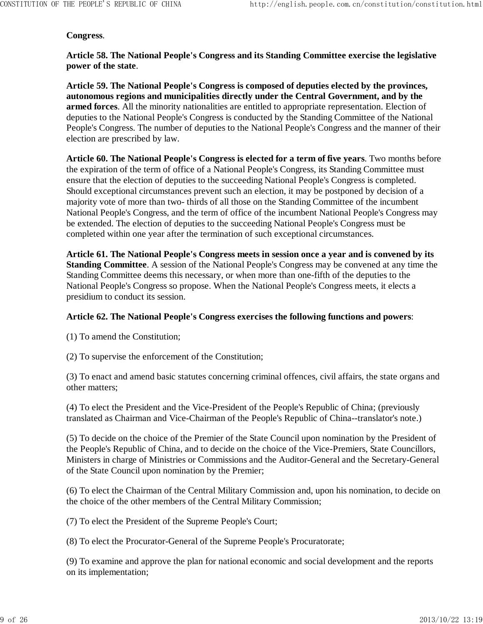#### **Congress**.

**Article 58. The National People's Congress and its Standing Committee exercise the legislative power of the state**.

**Article 59. The National People's Congress is composed of deputies elected by the provinces, autonomous regions and municipalities directly under the Central Government, and by the armed forces**. All the minority nationalities are entitled to appropriate representation. Election of deputies to the National People's Congress is conducted by the Standing Committee of the National People's Congress. The number of deputies to the National People's Congress and the manner of their election are prescribed by law.

**Article 60. The National People's Congress is elected for a term of five years**. Two months before the expiration of the term of office of a National People's Congress, its Standing Committee must ensure that the election of deputies to the succeeding National People's Congress is completed. Should exceptional circumstances prevent such an election, it may be postponed by decision of a majority vote of more than two- thirds of all those on the Standing Committee of the incumbent National People's Congress, and the term of office of the incumbent National People's Congress may be extended. The election of deputies to the succeeding National People's Congress must be completed within one year after the termination of such exceptional circumstances.

**Article 61. The National People's Congress meets in session once a year and is convened by its Standing Committee**. A session of the National People's Congress may be convened at any time the Standing Committee deems this necessary, or when more than one-fifth of the deputies to the National People's Congress so propose. When the National People's Congress meets, it elects a presidium to conduct its session.

#### **Article 62. The National People's Congress exercises the following functions and powers**:

(1) To amend the Constitution;

(2) To supervise the enforcement of the Constitution;

(3) To enact and amend basic statutes concerning criminal offences, civil affairs, the state organs and other matters;

(4) To elect the President and the Vice-President of the People's Republic of China; (previously translated as Chairman and Vice-Chairman of the People's Republic of China--translator's note.)

(5) To decide on the choice of the Premier of the State Council upon nomination by the President of the People's Republic of China, and to decide on the choice of the Vice-Premiers, State Councillors, Ministers in charge of Ministries or Commissions and the Auditor-General and the Secretary-General of the State Council upon nomination by the Premier;

(6) To elect the Chairman of the Central Military Commission and, upon his nomination, to decide on the choice of the other members of the Central Military Commission;

(7) To elect the President of the Supreme People's Court;

(8) To elect the Procurator-General of the Supreme People's Procuratorate;

(9) To examine and approve the plan for national economic and social development and the reports on its implementation;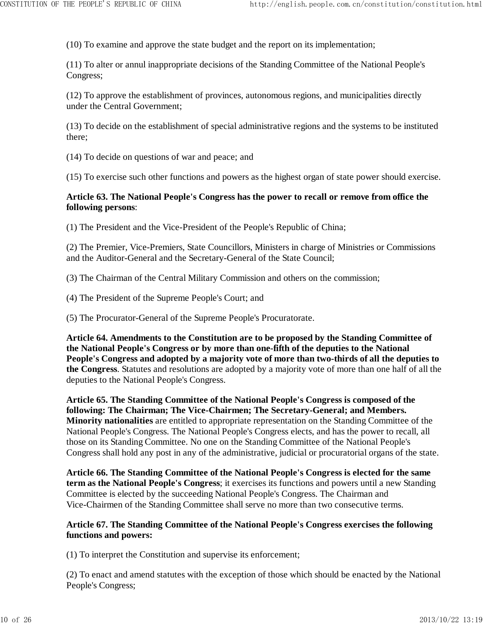(10) To examine and approve the state budget and the report on its implementation;

(11) To alter or annul inappropriate decisions of the Standing Committee of the National People's Congress;

(12) To approve the establishment of provinces, autonomous regions, and municipalities directly under the Central Government;

(13) To decide on the establishment of special administrative regions and the systems to be instituted there;

(14) To decide on questions of war and peace; and

(15) To exercise such other functions and powers as the highest organ of state power should exercise.

#### **Article 63. The National People's Congress has the power to recall or remove from office the following persons**:

(1) The President and the Vice-President of the People's Republic of China;

(2) The Premier, Vice-Premiers, State Councillors, Ministers in charge of Ministries or Commissions and the Auditor-General and the Secretary-General of the State Council;

(3) The Chairman of the Central Military Commission and others on the commission;

(4) The President of the Supreme People's Court; and

(5) The Procurator-General of the Supreme People's Procuratorate.

**Article 64. Amendments to the Constitution are to be proposed by the Standing Committee of the National People's Congress or by more than one-fifth of the deputies to the National People's Congress and adopted by a majority vote of more than two-thirds of all the deputies to the Congress**. Statutes and resolutions are adopted by a majority vote of more than one half of all the deputies to the National People's Congress.

**Article 65. The Standing Committee of the National People's Congress is composed of the following: The Chairman; The Vice-Chairmen; The Secretary-General; and Members. Minority nationalities** are entitled to appropriate representation on the Standing Committee of the National People's Congress. The National People's Congress elects, and has the power to recall, all those on its Standing Committee. No one on the Standing Committee of the National People's Congress shall hold any post in any of the administrative, judicial or procuratorial organs of the state.

**Article 66. The Standing Committee of the National People's Congress is elected for the same term as the National People's Congress**; it exercises its functions and powers until a new Standing Committee is elected by the succeeding National People's Congress. The Chairman and Vice-Chairmen of the Standing Committee shall serve no more than two consecutive terms.

#### **Article 67. The Standing Committee of the National People's Congress exercises the following functions and powers:**

(1) To interpret the Constitution and supervise its enforcement;

(2) To enact and amend statutes with the exception of those which should be enacted by the National People's Congress;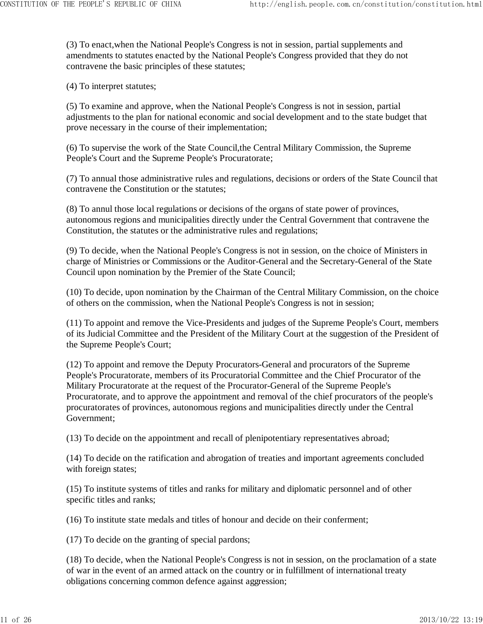(3) To enact,when the National People's Congress is not in session, partial supplements and amendments to statutes enacted by the National People's Congress provided that they do not contravene the basic principles of these statutes;

(4) To interpret statutes;

(5) To examine and approve, when the National People's Congress is not in session, partial adjustments to the plan for national economic and social development and to the state budget that prove necessary in the course of their implementation;

(6) To supervise the work of the State Council,the Central Military Commission, the Supreme People's Court and the Supreme People's Procuratorate;

(7) To annual those administrative rules and regulations, decisions or orders of the State Council that contravene the Constitution or the statutes;

(8) To annul those local regulations or decisions of the organs of state power of provinces, autonomous regions and municipalities directly under the Central Government that contravene the Constitution, the statutes or the administrative rules and regulations;

(9) To decide, when the National People's Congress is not in session, on the choice of Ministers in charge of Ministries or Commissions or the Auditor-General and the Secretary-General of the State Council upon nomination by the Premier of the State Council;

(10) To decide, upon nomination by the Chairman of the Central Military Commission, on the choice of others on the commission, when the National People's Congress is not in session;

(11) To appoint and remove the Vice-Presidents and judges of the Supreme People's Court, members of its Judicial Committee and the President of the Military Court at the suggestion of the President of the Supreme People's Court;

(12) To appoint and remove the Deputy Procurators-General and procurators of the Supreme People's Procuratorate, members of its Procuratorial Committee and the Chief Procurator of the Military Procuratorate at the request of the Procurator-General of the Supreme People's Procuratorate, and to approve the appointment and removal of the chief procurators of the people's procuratorates of provinces, autonomous regions and municipalities directly under the Central Government;

(13) To decide on the appointment and recall of plenipotentiary representatives abroad;

(14) To decide on the ratification and abrogation of treaties and important agreements concluded with foreign states;

(15) To institute systems of titles and ranks for military and diplomatic personnel and of other specific titles and ranks;

(16) To institute state medals and titles of honour and decide on their conferment;

(17) To decide on the granting of special pardons;

(18) To decide, when the National People's Congress is not in session, on the proclamation of a state of war in the event of an armed attack on the country or in fulfillment of international treaty obligations concerning common defence against aggression;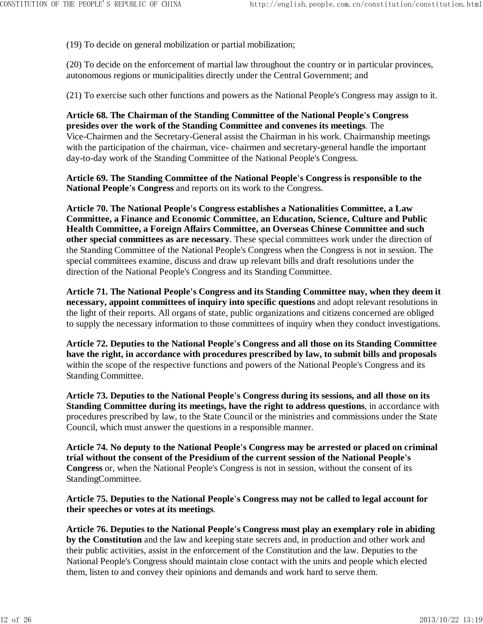(19) To decide on general mobilization or partial mobilization;

(20) To decide on the enforcement of martial law throughout the country or in particular provinces, autonomous regions or municipalities directly under the Central Government; and

(21) To exercise such other functions and powers as the National People's Congress may assign to it.

**Article 68. The Chairman of the Standing Committee of the National People's Congress presides over the work of the Standing Committee and convenes its meetings**. The Vice-Chairmen and the Secretary-General assist the Chairman in his work. Chairmanship meetings with the participation of the chairman, vice- chairmen and secretary-general handle the important day-to-day work of the Standing Committee of the National People's Congress.

**Article 69. The Standing Committee of the National People's Congress is responsible to the National People's Congress** and reports on its work to the Congress.

**Article 70. The National People's Congress establishes a Nationalities Committee, a Law Committee, a Finance and Economic Committee, an Education, Science, Culture and Public Health Committee, a Foreign Affairs Committee, an Overseas Chinese Committee and such other special committees as are necessary**. These special committees work under the direction of the Standing Committee of the National People's Congress when the Congress is not in session. The special committees examine, discuss and draw up relevant bills and draft resolutions under the direction of the National People's Congress and its Standing Committee.

**Article 71. The National People's Congress and its Standing Committee may, when they deem it necessary, appoint committees of inquiry into specific questions** and adopt relevant resolutions in the light of their reports. All organs of state, public organizations and citizens concerned are obliged to supply the necessary information to those committees of inquiry when they conduct investigations.

**Article 72. Deputies to the National People's Congress and all those on its Standing Committee have the right, in accordance with procedures prescribed by law, to submit bills and proposals** within the scope of the respective functions and powers of the National People's Congress and its Standing Committee.

**Article 73. Deputies to the National People's Congress during its sessions, and all those on its Standing Committee during its meetings, have the right to address questions**, in accordance with procedures prescribed by law, to the State Council or the ministries and commissions under the State Council, which must answer the questions in a responsible manner.

**Article 74. No deputy to the National People's Congress may be arrested or placed on criminal trial without the consent of the Presidium of the current session of the National People's Congress** or, when the National People's Congress is not in session, without the consent of its StandingCommittee.

**Article 75. Deputies to the National People's Congress may not be called to legal account for their speeches or votes at its meetings**.

**Article 76. Deputies to the National People's Congress must play an exemplary role in abiding by the Constitution** and the law and keeping state secrets and, in production and other work and their public activities, assist in the enforcement of the Constitution and the law. Deputies to the National People's Congress should maintain close contact with the units and people which elected them, listen to and convey their opinions and demands and work hard to serve them.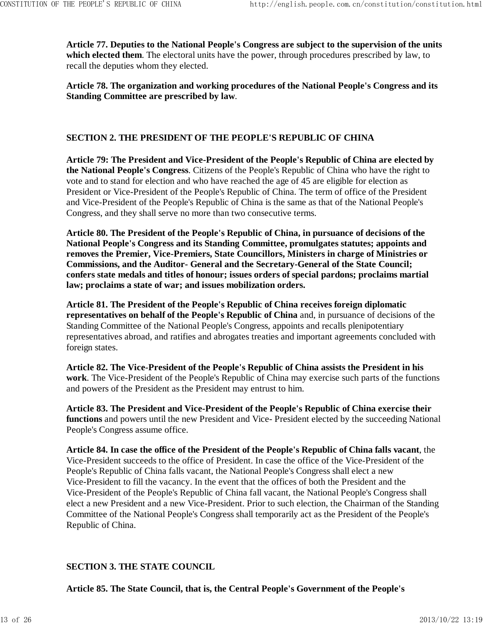**Article 77. Deputies to the National People's Congress are subject to the supervision of the units which elected them**. The electoral units have the power, through procedures prescribed by law, to recall the deputies whom they elected.

**Article 78. The organization and working procedures of the National People's Congress and its Standing Committee are prescribed by law**.

## **SECTION 2. THE PRESIDENT OF THE PEOPLE'S REPUBLIC OF CHINA**

**Article 79: The President and Vice-President of the People's Republic of China are elected by the National People's Congress**. Citizens of the People's Republic of China who have the right to vote and to stand for election and who have reached the age of 45 are eligible for election as President or Vice-President of the People's Republic of China. The term of office of the President and Vice-President of the People's Republic of China is the same as that of the National People's Congress, and they shall serve no more than two consecutive terms.

**Article 80. The President of the People's Republic of China, in pursuance of decisions of the National People's Congress and its Standing Committee, promulgates statutes; appoints and removes the Premier, Vice-Premiers, State Councillors, Ministers in charge of Ministries or Commissions, and the Auditor- General and the Secretary-General of the State Council; confers state medals and titles of honour; issues orders of special pardons; proclaims martial law; proclaims a state of war; and issues mobilization orders.**

**Article 81. The President of the People's Republic of China receives foreign diplomatic representatives on behalf of the People's Republic of China** and, in pursuance of decisions of the Standing Committee of the National People's Congress, appoints and recalls plenipotentiary representatives abroad, and ratifies and abrogates treaties and important agreements concluded with foreign states.

**Article 82. The Vice-President of the People's Republic of China assists the President in his work**. The Vice-President of the People's Republic of China may exercise such parts of the functions and powers of the President as the President may entrust to him.

**Article 83. The President and Vice-President of the People's Republic of China exercise their functions** and powers until the new President and Vice- President elected by the succeeding National People's Congress assume office.

**Article 84. In case the office of the President of the People's Republic of China falls vacant**, the Vice-President succeeds to the office of President. In case the office of the Vice-President of the People's Republic of China falls vacant, the National People's Congress shall elect a new Vice-President to fill the vacancy. In the event that the offices of both the President and the Vice-President of the People's Republic of China fall vacant, the National People's Congress shall elect a new President and a new Vice-President. Prior to such election, the Chairman of the Standing Committee of the National People's Congress shall temporarily act as the President of the People's Republic of China.

## **SECTION 3. THE STATE COUNCIL**

**Article 85. The State Council, that is, the Central People's Government of the People's**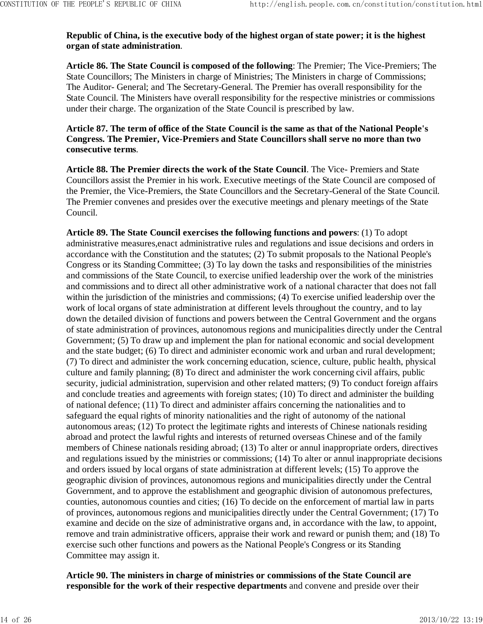**Republic of China, is the executive body of the highest organ of state power; it is the highest organ of state administration**.

**Article 86. The State Council is composed of the following**: The Premier; The Vice-Premiers; The State Councillors; The Ministers in charge of Ministries; The Ministers in charge of Commissions; The Auditor- General; and The Secretary-General. The Premier has overall responsibility for the State Council. The Ministers have overall responsibility for the respective ministries or commissions under their charge. The organization of the State Council is prescribed by law.

#### **Article 87. The term of office of the State Council is the same as that of the National People's Congress. The Premier, Vice-Premiers and State Councillors shall serve no more than two consecutive terms**.

**Article 88. The Premier directs the work of the State Council**. The Vice- Premiers and State Councillors assist the Premier in his work. Executive meetings of the State Council are composed of the Premier, the Vice-Premiers, the State Councillors and the Secretary-General of the State Council. The Premier convenes and presides over the executive meetings and plenary meetings of the State Council.

**Article 89. The State Council exercises the following functions and powers**: (1) To adopt administrative measures,enact administrative rules and regulations and issue decisions and orders in accordance with the Constitution and the statutes; (2) To submit proposals to the National People's Congress or its Standing Committee; (3) To lay down the tasks and responsibilities of the ministries and commissions of the State Council, to exercise unified leadership over the work of the ministries and commissions and to direct all other administrative work of a national character that does not fall within the jurisdiction of the ministries and commissions; (4) To exercise unified leadership over the work of local organs of state administration at different levels throughout the country, and to lay down the detailed division of functions and powers between the Central Government and the organs of state administration of provinces, autonomous regions and municipalities directly under the Central Government; (5) To draw up and implement the plan for national economic and social development and the state budget; (6) To direct and administer economic work and urban and rural development; (7) To direct and administer the work concerning education, science, culture, public health, physical culture and family planning; (8) To direct and administer the work concerning civil affairs, public security, judicial administration, supervision and other related matters; (9) To conduct foreign affairs and conclude treaties and agreements with foreign states; (10) To direct and administer the building of national defence; (11) To direct and administer affairs concerning the nationalities and to safeguard the equal rights of minority nationalities and the right of autonomy of the national autonomous areas; (12) To protect the legitimate rights and interests of Chinese nationals residing abroad and protect the lawful rights and interests of returned overseas Chinese and of the family members of Chinese nationals residing abroad; (13) To alter or annul inappropriate orders, directives and regulations issued by the ministries or commissions; (14) To alter or annul inappropriate decisions and orders issued by local organs of state administration at different levels; (15) To approve the geographic division of provinces, autonomous regions and municipalities directly under the Central Government, and to approve the establishment and geographic division of autonomous prefectures, counties, autonomous counties and cities; (16) To decide on the enforcement of martial law in parts of provinces, autonomous regions and municipalities directly under the Central Government; (17) To examine and decide on the size of administrative organs and, in accordance with the law, to appoint, remove and train administrative officers, appraise their work and reward or punish them; and (18) To exercise such other functions and powers as the National People's Congress or its Standing Committee may assign it.

#### **Article 90. The ministers in charge of ministries or commissions of the State Council are responsible for the work of their respective departments** and convene and preside over their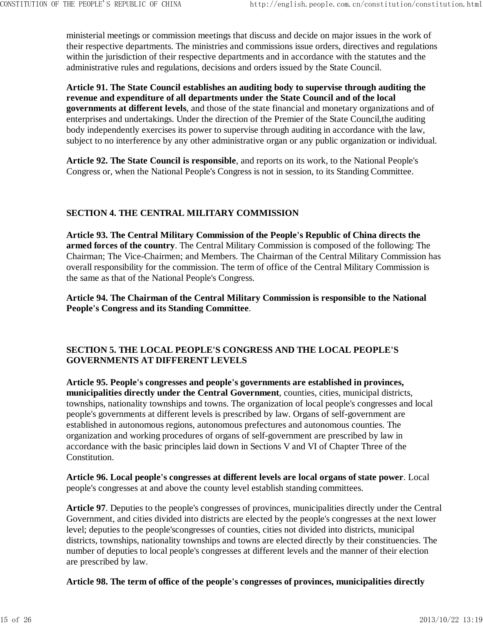ministerial meetings or commission meetings that discuss and decide on major issues in the work of their respective departments. The ministries and commissions issue orders, directives and regulations within the jurisdiction of their respective departments and in accordance with the statutes and the administrative rules and regulations, decisions and orders issued by the State Council.

**Article 91. The State Council establishes an auditing body to supervise through auditing the revenue and expenditure of all departments under the State Council and of the local governments at different levels**, and those of the state financial and monetary organizations and of enterprises and undertakings. Under the direction of the Premier of the State Council,the auditing body independently exercises its power to supervise through auditing in accordance with the law, subject to no interference by any other administrative organ or any public organization or individual.

**Article 92. The State Council is responsible**, and reports on its work, to the National People's Congress or, when the National People's Congress is not in session, to its Standing Committee.

## **SECTION 4. THE CENTRAL MILITARY COMMISSION**

**Article 93. The Central Military Commission of the People's Republic of China directs the armed forces of the country**. The Central Military Commission is composed of the following: The Chairman; The Vice-Chairmen; and Members. The Chairman of the Central Military Commission has overall responsibility for the commission. The term of office of the Central Military Commission is the same as that of the National People's Congress.

**Article 94. The Chairman of the Central Military Commission is responsible to the National People's Congress and its Standing Committee**.

#### **SECTION 5. THE LOCAL PEOPLE'S CONGRESS AND THE LOCAL PEOPLE'S GOVERNMENTS AT DIFFERENT LEVELS**

**Article 95. People's congresses and people's governments are established in provinces, municipalities directly under the Central Government**, counties, cities, municipal districts, townships, nationality townships and towns. The organization of local people's congresses and local people's governments at different levels is prescribed by law. Organs of self-government are established in autonomous regions, autonomous prefectures and autonomous counties. The organization and working procedures of organs of self-government are prescribed by law in accordance with the basic principles laid down in Sections V and VI of Chapter Three of the Constitution.

**Article 96. Local people's congresses at different levels are local organs of state power**. Local people's congresses at and above the county level establish standing committees.

**Article 97**. Deputies to the people's congresses of provinces, municipalities directly under the Central Government, and cities divided into districts are elected by the people's congresses at the next lower level; deputies to the people'scongresses of counties, cities not divided into districts, municipal districts, townships, nationality townships and towns are elected directly by their constituencies. The number of deputies to local people's congresses at different levels and the manner of their election are prescribed by law.

**Article 98. The term of office of the people's congresses of provinces, municipalities directly**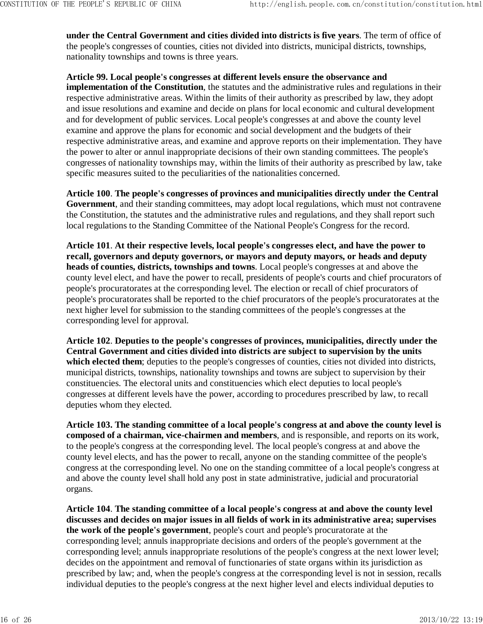**under the Central Government and cities divided into districts is five years**. The term of office of the people's congresses of counties, cities not divided into districts, municipal districts, townships, nationality townships and towns is three years.

**Article 99. Local people's congresses at different levels ensure the observance and implementation of the Constitution**, the statutes and the administrative rules and regulations in their respective administrative areas. Within the limits of their authority as prescribed by law, they adopt and issue resolutions and examine and decide on plans for local economic and cultural development and for development of public services. Local people's congresses at and above the county level examine and approve the plans for economic and social development and the budgets of their respective administrative areas, and examine and approve reports on their implementation. They have the power to alter or annul inappropriate decisions of their own standing committees. The people's congresses of nationality townships may, within the limits of their authority as prescribed by law, take specific measures suited to the peculiarities of the nationalities concerned.

**Article 100**. **The people's congresses of provinces and municipalities directly under the Central Government**, and their standing committees, may adopt local regulations, which must not contravene the Constitution, the statutes and the administrative rules and regulations, and they shall report such local regulations to the Standing Committee of the National People's Congress for the record.

**Article 101**. **At their respective levels, local people's congresses elect, and have the power to recall, governors and deputy governors, or mayors and deputy mayors, or heads and deputy heads of counties, districts, townships and towns**. Local people's congresses at and above the county level elect, and have the power to recall, presidents of people's courts and chief procurators of people's procuratorates at the corresponding level. The election or recall of chief procurators of people's procuratorates shall be reported to the chief procurators of the people's procuratorates at the next higher level for submission to the standing committees of the people's congresses at the corresponding level for approval.

**Article 102**. **Deputies to the people's congresses of provinces, municipalities, directly under the Central Government and cities divided into districts are subject to supervision by the units** which elected them; deputies to the people's congresses of counties, cities not divided into districts, municipal districts, townships, nationality townships and towns are subject to supervision by their constituencies. The electoral units and constituencies which elect deputies to local people's congresses at different levels have the power, according to procedures prescribed by law, to recall deputies whom they elected.

**Article 103. The standing committee of a local people's congress at and above the county level is composed of a chairman, vice-chairmen and members**, and is responsible, and reports on its work, to the people's congress at the corresponding level. The local people's congress at and above the county level elects, and has the power to recall, anyone on the standing committee of the people's congress at the corresponding level. No one on the standing committee of a local people's congress at and above the county level shall hold any post in state administrative, judicial and procuratorial organs.

**Article 104**. **The standing committee of a local people's congress at and above the county level discusses and decides on major issues in all fields of work in its administrative area; supervises the work of the people's government**, people's court and people's procuratorate at the corresponding level; annuls inappropriate decisions and orders of the people's government at the corresponding level; annuls inappropriate resolutions of the people's congress at the next lower level; decides on the appointment and removal of functionaries of state organs within its jurisdiction as prescribed by law; and, when the people's congress at the corresponding level is not in session, recalls individual deputies to the people's congress at the next higher level and elects individual deputies to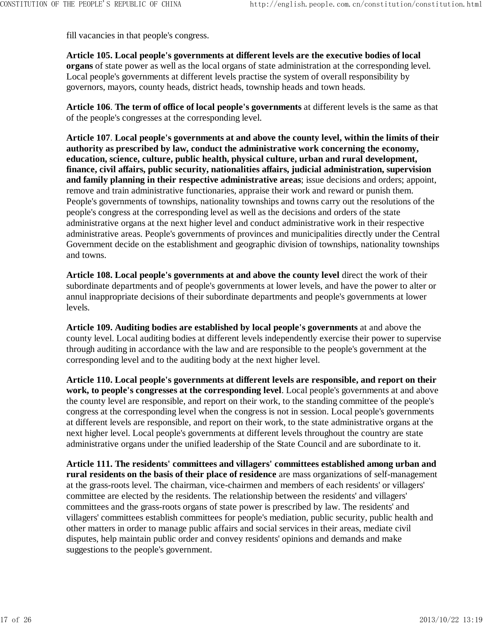fill vacancies in that people's congress.

**Article 105. Local people's governments at different levels are the executive bodies of local organs** of state power as well as the local organs of state administration at the corresponding level. Local people's governments at different levels practise the system of overall responsibility by governors, mayors, county heads, district heads, township heads and town heads.

**Article 106**. **The term of office of local people's governments** at different levels is the same as that of the people's congresses at the corresponding level.

**Article 107**. **Local people's governments at and above the county level, within the limits of their authority as prescribed by law, conduct the administrative work concerning the economy, education, science, culture, public health, physical culture, urban and rural development, finance, civil affairs, public security, nationalities affairs, judicial administration, supervision and family planning in their respective administrative areas**; issue decisions and orders; appoint, remove and train administrative functionaries, appraise their work and reward or punish them. People's governments of townships, nationality townships and towns carry out the resolutions of the people's congress at the corresponding level as well as the decisions and orders of the state administrative organs at the next higher level and conduct administrative work in their respective administrative areas. People's governments of provinces and municipalities directly under the Central Government decide on the establishment and geographic division of townships, nationality townships and towns.

**Article 108. Local people's governments at and above the county level** direct the work of their subordinate departments and of people's governments at lower levels, and have the power to alter or annul inappropriate decisions of their subordinate departments and people's governments at lower levels.

**Article 109. Auditing bodies are established by local people's governments** at and above the county level. Local auditing bodies at different levels independently exercise their power to supervise through auditing in accordance with the law and are responsible to the people's government at the corresponding level and to the auditing body at the next higher level.

**Article 110. Local people's governments at different levels are responsible, and report on their work, to people's congresses at the corresponding level**. Local people's governments at and above the county level are responsible, and report on their work, to the standing committee of the people's congress at the corresponding level when the congress is not in session. Local people's governments at different levels are responsible, and report on their work, to the state administrative organs at the next higher level. Local people's governments at different levels throughout the country are state administrative organs under the unified leadership of the State Council and are subordinate to it.

**Article 111. The residents' committees and villagers' committees established among urban and rural residents on the basis of their place of residence** are mass organizations of self-management at the grass-roots level. The chairman, vice-chairmen and members of each residents' or villagers' committee are elected by the residents. The relationship between the residents' and villagers' committees and the grass-roots organs of state power is prescribed by law. The residents' and villagers' committees establish committees for people's mediation, public security, public health and other matters in order to manage public affairs and social services in their areas, mediate civil disputes, help maintain public order and convey residents' opinions and demands and make suggestions to the people's government.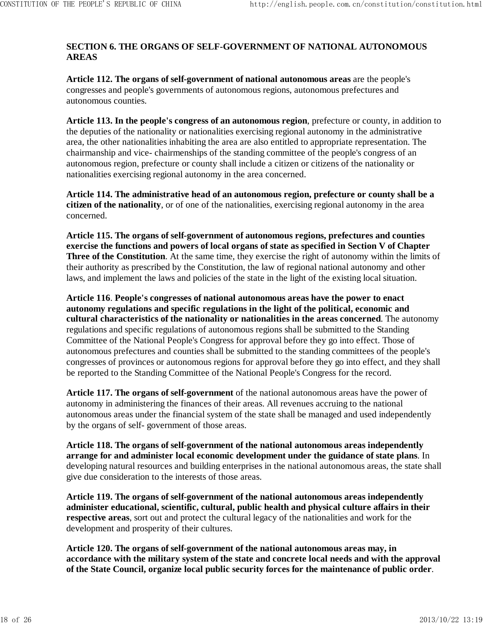## **SECTION 6. THE ORGANS OF SELF-GOVERNMENT OF NATIONAL AUTONOMOUS AREAS**

**Article 112. The organs of self-government of national autonomous areas** are the people's congresses and people's governments of autonomous regions, autonomous prefectures and autonomous counties.

**Article 113. In the people's congress of an autonomous region**, prefecture or county, in addition to the deputies of the nationality or nationalities exercising regional autonomy in the administrative area, the other nationalities inhabiting the area are also entitled to appropriate representation. The chairmanship and vice- chairmenships of the standing committee of the people's congress of an autonomous region, prefecture or county shall include a citizen or citizens of the nationality or nationalities exercising regional autonomy in the area concerned.

**Article 114. The administrative head of an autonomous region, prefecture or county shall be a citizen of the nationality**, or of one of the nationalities, exercising regional autonomy in the area concerned.

**Article 115. The organs of self-government of autonomous regions, prefectures and counties exercise the functions and powers of local organs of state as specified in Section V of Chapter Three of the Constitution**. At the same time, they exercise the right of autonomy within the limits of their authority as prescribed by the Constitution, the law of regional national autonomy and other laws, and implement the laws and policies of the state in the light of the existing local situation.

**Article 116**. **People's congresses of national autonomous areas have the power to enact autonomy regulations and specific regulations in the light of the political, economic and cultural characteristics of the nationality or nationalities in the areas concerned**. The autonomy regulations and specific regulations of autonomous regions shall be submitted to the Standing Committee of the National People's Congress for approval before they go into effect. Those of autonomous prefectures and counties shall be submitted to the standing committees of the people's congresses of provinces or autonomous regions for approval before they go into effect, and they shall be reported to the Standing Committee of the National People's Congress for the record.

**Article 117. The organs of self-government** of the national autonomous areas have the power of autonomy in administering the finances of their areas. All revenues accruing to the national autonomous areas under the financial system of the state shall be managed and used independently by the organs of self- government of those areas.

**Article 118. The organs of self-government of the national autonomous areas independently arrange for and administer local economic development under the guidance of state plans**. In developing natural resources and building enterprises in the national autonomous areas, the state shall give due consideration to the interests of those areas.

**Article 119. The organs of self-government of the national autonomous areas independently administer educational, scientific, cultural, public health and physical culture affairs in their respective areas**, sort out and protect the cultural legacy of the nationalities and work for the development and prosperity of their cultures.

**Article 120. The organs of self-government of the national autonomous areas may, in accordance with the military system of the state and concrete local needs and with the approval of the State Council, organize local public security forces for the maintenance of public order**.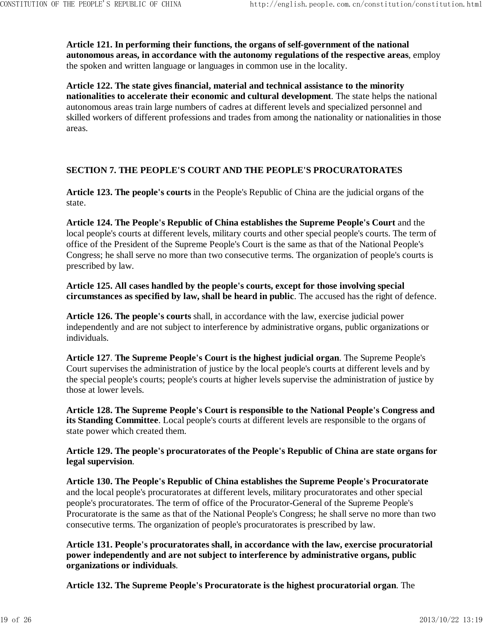**Article 121. In performing their functions, the organs of self-government of the national autonomous areas, in accordance with the autonomy regulations of the respective areas**, employ the spoken and written language or languages in common use in the locality.

**Article 122. The state gives financial, material and technical assistance to the minority nationalities to accelerate their economic and cultural development**. The state helps the national autonomous areas train large numbers of cadres at different levels and specialized personnel and skilled workers of different professions and trades from among the nationality or nationalities in those areas.

## **SECTION 7. THE PEOPLE'S COURT AND THE PEOPLE'S PROCURATORATES**

**Article 123. The people's courts** in the People's Republic of China are the judicial organs of the state.

**Article 124. The People's Republic of China establishes the Supreme People's Court** and the local people's courts at different levels, military courts and other special people's courts. The term of office of the President of the Supreme People's Court is the same as that of the National People's Congress; he shall serve no more than two consecutive terms. The organization of people's courts is prescribed by law.

**Article 125. All cases handled by the people's courts, except for those involving special circumstances as specified by law, shall be heard in public**. The accused has the right of defence.

**Article 126. The people's courts** shall, in accordance with the law, exercise judicial power independently and are not subject to interference by administrative organs, public organizations or individuals.

**Article 127**. **The Supreme People's Court is the highest judicial organ**. The Supreme People's Court supervises the administration of justice by the local people's courts at different levels and by the special people's courts; people's courts at higher levels supervise the administration of justice by those at lower levels.

**Article 128. The Supreme People's Court is responsible to the National People's Congress and its Standing Committee**. Local people's courts at different levels are responsible to the organs of state power which created them.

**Article 129. The people's procuratorates of the People's Republic of China are state organs for legal supervision**.

**Article 130. The People's Republic of China establishes the Supreme People's Procuratorate** and the local people's procuratorates at different levels, military procuratorates and other special people's procuratorates. The term of office of the Procurator-General of the Supreme People's Procuratorate is the same as that of the National People's Congress; he shall serve no more than two consecutive terms. The organization of people's procuratorates is prescribed by law.

**Article 131. People's procuratorates shall, in accordance with the law, exercise procuratorial power independently and are not subject to interference by administrative organs, public organizations or individuals**.

**Article 132. The Supreme People's Procuratorate is the highest procuratorial organ**. The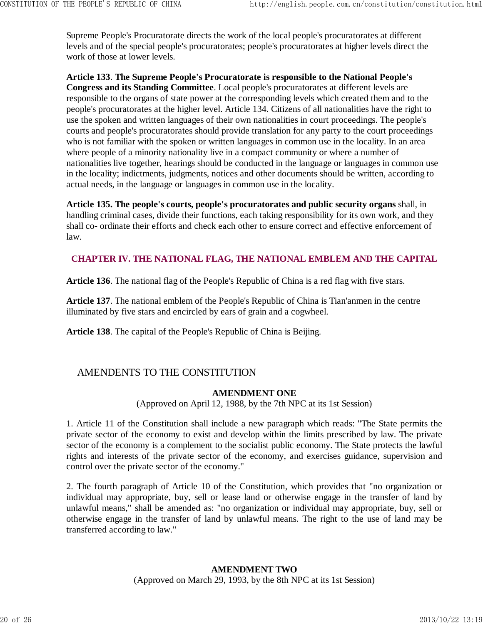Supreme People's Procuratorate directs the work of the local people's procuratorates at different levels and of the special people's procuratorates; people's procuratorates at higher levels direct the work of those at lower levels.

**Article 133**. **The Supreme People's Procuratorate is responsible to the National People's Congress and its Standing Committee**. Local people's procuratorates at different levels are responsible to the organs of state power at the corresponding levels which created them and to the people's procuratorates at the higher level. Article 134. Citizens of all nationalities have the right to use the spoken and written languages of their own nationalities in court proceedings. The people's courts and people's procuratorates should provide translation for any party to the court proceedings who is not familiar with the spoken or written languages in common use in the locality. In an area where people of a minority nationality live in a compact community or where a number of nationalities live together, hearings should be conducted in the language or languages in common use in the locality; indictments, judgments, notices and other documents should be written, according to actual needs, in the language or languages in common use in the locality.

**Article 135. The people's courts, people's procuratorates and public security organs** shall, in handling criminal cases, divide their functions, each taking responsibility for its own work, and they shall co- ordinate their efforts and check each other to ensure correct and effective enforcement of law.

#### **CHAPTER IV. THE NATIONAL FLAG, THE NATIONAL EMBLEM AND THE CAPITAL**

**Article 136**. The national flag of the People's Republic of China is a red flag with five stars.

**Article 137**. The national emblem of the People's Republic of China is Tian'anmen in the centre illuminated by five stars and encircled by ears of grain and a cogwheel.

**Article 138**. The capital of the People's Republic of China is Beijing.

## AMENDENTS TO THE CONSTITUTION

#### **AMENDMENT ONE**

(Approved on April 12, 1988, by the 7th NPC at its 1st Session)

1. Article 11 of the Constitution shall include a new paragraph which reads: "The State permits the private sector of the economy to exist and develop within the limits prescribed by law. The private sector of the economy is a complement to the socialist public economy. The State protects the lawful rights and interests of the private sector of the economy, and exercises guidance, supervision and control over the private sector of the economy."

2. The fourth paragraph of Article 10 of the Constitution, which provides that "no organization or individual may appropriate, buy, sell or lease land or otherwise engage in the transfer of land by unlawful means," shall be amended as: "no organization or individual may appropriate, buy, sell or otherwise engage in the transfer of land by unlawful means. The right to the use of land may be transferred according to law."

> **AMENDMENT TWO** (Approved on March 29, 1993, by the 8th NPC at its 1st Session)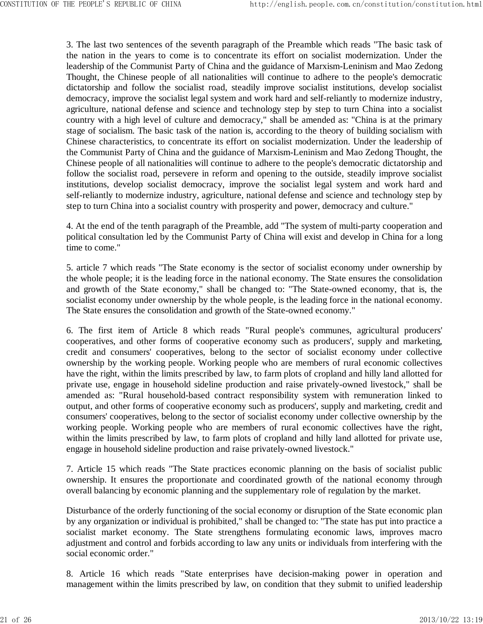3. The last two sentences of the seventh paragraph of the Preamble which reads "The basic task of the nation in the years to come is to concentrate its effort on socialist modernization. Under the leadership of the Communist Party of China and the guidance of Marxism-Leninism and Mao Zedong Thought, the Chinese people of all nationalities will continue to adhere to the people's democratic dictatorship and follow the socialist road, steadily improve socialist institutions, develop socialist democracy, improve the socialist legal system and work hard and self-reliantly to modernize industry, agriculture, national defense and science and technology step by step to turn China into a socialist country with a high level of culture and democracy," shall be amended as: "China is at the primary stage of socialism. The basic task of the nation is, according to the theory of building socialism with Chinese characteristics, to concentrate its effort on socialist modernization. Under the leadership of the Communist Party of China and the guidance of Marxism-Leninism and Mao Zedong Thought, the Chinese people of all nationalities will continue to adhere to the people's democratic dictatorship and follow the socialist road, persevere in reform and opening to the outside, steadily improve socialist institutions, develop socialist democracy, improve the socialist legal system and work hard and self-reliantly to modernize industry, agriculture, national defense and science and technology step by step to turn China into a socialist country with prosperity and power, democracy and culture."

4. At the end of the tenth paragraph of the Preamble, add "The system of multi-party cooperation and political consultation led by the Communist Party of China will exist and develop in China for a long time to come."

5. article 7 which reads "The State economy is the sector of socialist economy under ownership by the whole people; it is the leading force in the national economy. The State ensures the consolidation and growth of the State economy," shall be changed to: "The State-owned economy, that is, the socialist economy under ownership by the whole people, is the leading force in the national economy. The State ensures the consolidation and growth of the State-owned economy."

6. The first item of Article 8 which reads "Rural people's communes, agricultural producers' cooperatives, and other forms of cooperative economy such as producers', supply and marketing, credit and consumers' cooperatives, belong to the sector of socialist economy under collective ownership by the working people. Working people who are members of rural economic collectives have the right, within the limits prescribed by law, to farm plots of cropland and hilly land allotted for private use, engage in household sideline production and raise privately-owned livestock," shall be amended as: "Rural household-based contract responsibility system with remuneration linked to output, and other forms of cooperative economy such as producers', supply and marketing, credit and consumers' cooperatives, belong to the sector of socialist economy under collective ownership by the working people. Working people who are members of rural economic collectives have the right, within the limits prescribed by law, to farm plots of cropland and hilly land allotted for private use, engage in household sideline production and raise privately-owned livestock."

7. Article 15 which reads "The State practices economic planning on the basis of socialist public ownership. It ensures the proportionate and coordinated growth of the national economy through overall balancing by economic planning and the supplementary role of regulation by the market.

Disturbance of the orderly functioning of the social economy or disruption of the State economic plan by any organization or individual is prohibited," shall be changed to: "The state has put into practice a socialist market economy. The State strengthens formulating economic laws, improves macro adjustment and control and forbids according to law any units or individuals from interfering with the social economic order."

8. Article 16 which reads "State enterprises have decision-making power in operation and management within the limits prescribed by law, on condition that they submit to unified leadership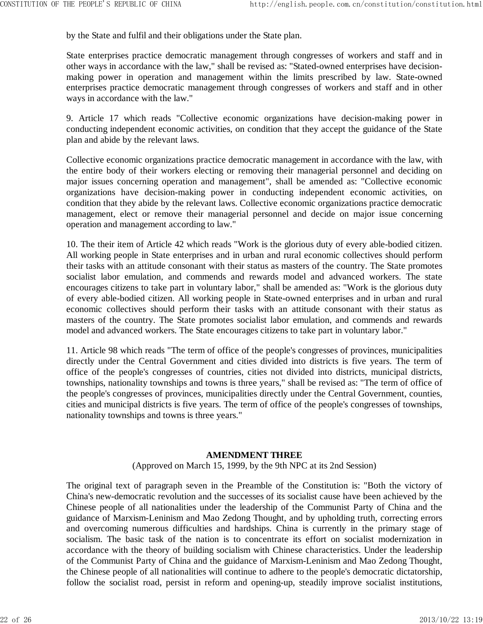by the State and fulfil and their obligations under the State plan.

State enterprises practice democratic management through congresses of workers and staff and in other ways in accordance with the law," shall be revised as: "Stated-owned enterprises have decisionmaking power in operation and management within the limits prescribed by law. State-owned enterprises practice democratic management through congresses of workers and staff and in other ways in accordance with the law."

9. Article 17 which reads "Collective economic organizations have decision-making power in conducting independent economic activities, on condition that they accept the guidance of the State plan and abide by the relevant laws.

Collective economic organizations practice democratic management in accordance with the law, with the entire body of their workers electing or removing their managerial personnel and deciding on major issues concerning operation and management", shall be amended as: "Collective economic organizations have decision-making power in conducting independent economic activities, on condition that they abide by the relevant laws. Collective economic organizations practice democratic management, elect or remove their managerial personnel and decide on major issue concerning operation and management according to law."

10. The their item of Article 42 which reads "Work is the glorious duty of every able-bodied citizen. All working people in State enterprises and in urban and rural economic collectives should perform their tasks with an attitude consonant with their status as masters of the country. The State promotes socialist labor emulation, and commends and rewards model and advanced workers. The state encourages citizens to take part in voluntary labor," shall be amended as: "Work is the glorious duty of every able-bodied citizen. All working people in State-owned enterprises and in urban and rural economic collectives should perform their tasks with an attitude consonant with their status as masters of the country. The State promotes socialist labor emulation, and commends and rewards model and advanced workers. The State encourages citizens to take part in voluntary labor."

11. Article 98 which reads "The term of office of the people's congresses of provinces, municipalities directly under the Central Government and cities divided into districts is five years. The term of office of the people's congresses of countries, cities not divided into districts, municipal districts, townships, nationality townships and towns is three years," shall be revised as: "The term of office of the people's congresses of provinces, municipalities directly under the Central Government, counties, cities and municipal districts is five years. The term of office of the people's congresses of townships, nationality townships and towns is three years."

#### **AMENDMENT THREE**

(Approved on March 15, 1999, by the 9th NPC at its 2nd Session)

The original text of paragraph seven in the Preamble of the Constitution is: "Both the victory of China's new-democratic revolution and the successes of its socialist cause have been achieved by the Chinese people of all nationalities under the leadership of the Communist Party of China and the guidance of Marxism-Leninism and Mao Zedong Thought, and by upholding truth, correcting errors and overcoming numerous difficulties and hardships. China is currently in the primary stage of socialism. The basic task of the nation is to concentrate its effort on socialist modernization in accordance with the theory of building socialism with Chinese characteristics. Under the leadership of the Communist Party of China and the guidance of Marxism-Leninism and Mao Zedong Thought, the Chinese people of all nationalities will continue to adhere to the people's democratic dictatorship, follow the socialist road, persist in reform and opening-up, steadily improve socialist institutions,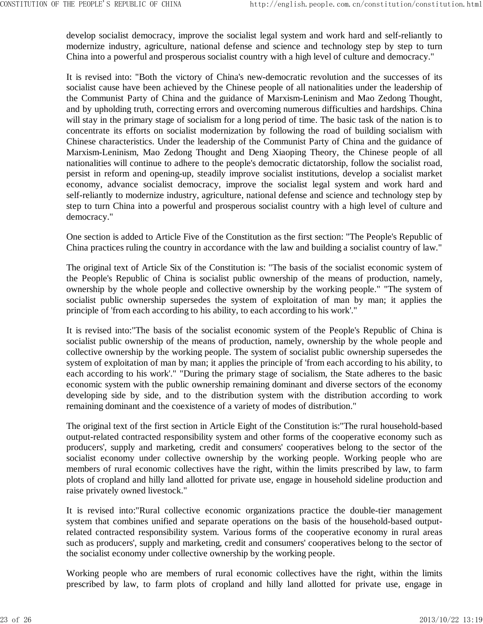develop socialist democracy, improve the socialist legal system and work hard and self-reliantly to modernize industry, agriculture, national defense and science and technology step by step to turn China into a powerful and prosperous socialist country with a high level of culture and democracy."

It is revised into: "Both the victory of China's new-democratic revolution and the successes of its socialist cause have been achieved by the Chinese people of all nationalities under the leadership of the Communist Party of China and the guidance of Marxism-Leninism and Mao Zedong Thought, and by upholding truth, correcting errors and overcoming numerous difficulties and hardships. China will stay in the primary stage of socialism for a long period of time. The basic task of the nation is to concentrate its efforts on socialist modernization by following the road of building socialism with Chinese characteristics. Under the leadership of the Communist Party of China and the guidance of Marxism-Leninism, Mao Zedong Thought and Deng Xiaoping Theory, the Chinese people of all nationalities will continue to adhere to the people's democratic dictatorship, follow the socialist road, persist in reform and opening-up, steadily improve socialist institutions, develop a socialist market economy, advance socialist democracy, improve the socialist legal system and work hard and self-reliantly to modernize industry, agriculture, national defense and science and technology step by step to turn China into a powerful and prosperous socialist country with a high level of culture and democracy."

One section is added to Article Five of the Constitution as the first section: "The People's Republic of China practices ruling the country in accordance with the law and building a socialist country of law."

The original text of Article Six of the Constitution is: "The basis of the socialist economic system of the People's Republic of China is socialist public ownership of the means of production, namely, ownership by the whole people and collective ownership by the working people." "The system of socialist public ownership supersedes the system of exploitation of man by man; it applies the principle of 'from each according to his ability, to each according to his work'."

It is revised into:"The basis of the socialist economic system of the People's Republic of China is socialist public ownership of the means of production, namely, ownership by the whole people and collective ownership by the working people. The system of socialist public ownership supersedes the system of exploitation of man by man; it applies the principle of 'from each according to his ability, to each according to his work'." "During the primary stage of socialism, the State adheres to the basic economic system with the public ownership remaining dominant and diverse sectors of the economy developing side by side, and to the distribution system with the distribution according to work remaining dominant and the coexistence of a variety of modes of distribution."

The original text of the first section in Article Eight of the Constitution is:"The rural household-based output-related contracted responsibility system and other forms of the cooperative economy such as producers', supply and marketing, credit and consumers' cooperatives belong to the sector of the socialist economy under collective ownership by the working people. Working people who are members of rural economic collectives have the right, within the limits prescribed by law, to farm plots of cropland and hilly land allotted for private use, engage in household sideline production and raise privately owned livestock."

It is revised into:"Rural collective economic organizations practice the double-tier management system that combines unified and separate operations on the basis of the household-based outputrelated contracted responsibility system. Various forms of the cooperative economy in rural areas such as producers', supply and marketing, credit and consumers' cooperatives belong to the sector of the socialist economy under collective ownership by the working people.

Working people who are members of rural economic collectives have the right, within the limits prescribed by law, to farm plots of cropland and hilly land allotted for private use, engage in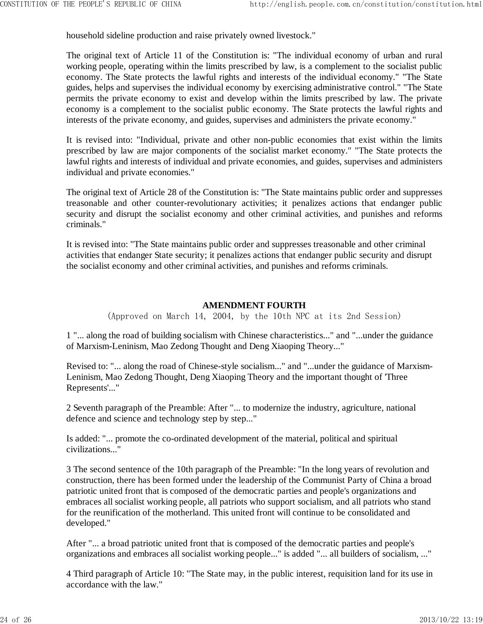household sideline production and raise privately owned livestock."

The original text of Article 11 of the Constitution is: "The individual economy of urban and rural working people, operating within the limits prescribed by law, is a complement to the socialist public economy. The State protects the lawful rights and interests of the individual economy." "The State guides, helps and supervises the individual economy by exercising administrative control." "The State permits the private economy to exist and develop within the limits prescribed by law. The private economy is a complement to the socialist public economy. The State protects the lawful rights and interests of the private economy, and guides, supervises and administers the private economy."

It is revised into: "Individual, private and other non-public economies that exist within the limits prescribed by law are major components of the socialist market economy." "The State protects the lawful rights and interests of individual and private economies, and guides, supervises and administers individual and private economies."

The original text of Article 28 of the Constitution is: "The State maintains public order and suppresses treasonable and other counter-revolutionary activities; it penalizes actions that endanger public security and disrupt the socialist economy and other criminal activities, and punishes and reforms criminals."

It is revised into: "The State maintains public order and suppresses treasonable and other criminal activities that endanger State security; it penalizes actions that endanger public security and disrupt the socialist economy and other criminal activities, and punishes and reforms criminals.

#### **AMENDMENT FOURTH**

(Approved on March 14, 2004, by the 10th NPC at its 2nd Session)

1 "... along the road of building socialism with Chinese characteristics..." and "...under the guidance of Marxism-Leninism, Mao Zedong Thought and Deng Xiaoping Theory..."

Revised to: "... along the road of Chinese-style socialism..." and "...under the guidance of Marxism-Leninism, Mao Zedong Thought, Deng Xiaoping Theory and the important thought of 'Three Represents'..."

2 Seventh paragraph of the Preamble: After "... to modernize the industry, agriculture, national defence and science and technology step by step..."

Is added: "... promote the co-ordinated development of the material, political and spiritual civilizations..."

3 The second sentence of the 10th paragraph of the Preamble: "In the long years of revolution and construction, there has been formed under the leadership of the Communist Party of China a broad patriotic united front that is composed of the democratic parties and people's organizations and embraces all socialist working people, all patriots who support socialism, and all patriots who stand for the reunification of the motherland. This united front will continue to be consolidated and developed."

After "... a broad patriotic united front that is composed of the democratic parties and people's organizations and embraces all socialist working people..." is added "... all builders of socialism, ..."

4 Third paragraph of Article 10: "The State may, in the public interest, requisition land for its use in accordance with the law."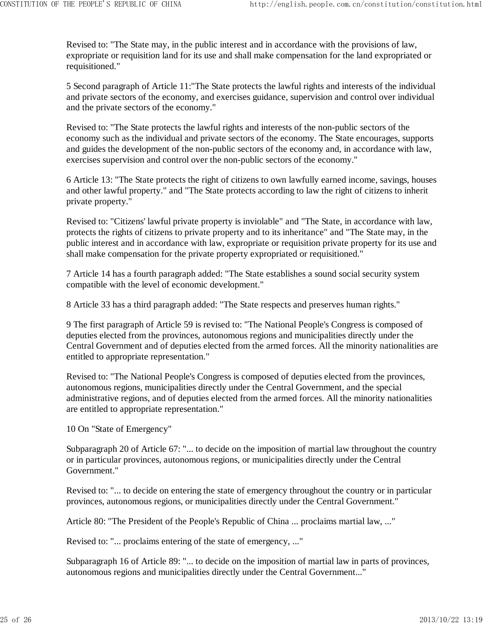Revised to: "The State may, in the public interest and in accordance with the provisions of law, expropriate or requisition land for its use and shall make compensation for the land expropriated or requisitioned."

5 Second paragraph of Article 11:"The State protects the lawful rights and interests of the individual and private sectors of the economy, and exercises guidance, supervision and control over individual and the private sectors of the economy."

Revised to: "The State protects the lawful rights and interests of the non-public sectors of the economy such as the individual and private sectors of the economy. The State encourages, supports and guides the development of the non-public sectors of the economy and, in accordance with law, exercises supervision and control over the non-public sectors of the economy."

6 Article 13: "The State protects the right of citizens to own lawfully earned income, savings, houses and other lawful property." and "The State protects according to law the right of citizens to inherit private property."

Revised to: "Citizens' lawful private property is inviolable" and "The State, in accordance with law, protects the rights of citizens to private property and to its inheritance" and "The State may, in the public interest and in accordance with law, expropriate or requisition private property for its use and shall make compensation for the private property expropriated or requisitioned."

7 Article 14 has a fourth paragraph added: "The State establishes a sound social security system compatible with the level of economic development."

8 Article 33 has a third paragraph added: "The State respects and preserves human rights."

9 The first paragraph of Article 59 is revised to: "The National People's Congress is composed of deputies elected from the provinces, autonomous regions and municipalities directly under the Central Government and of deputies elected from the armed forces. All the minority nationalities are entitled to appropriate representation."

Revised to: "The National People's Congress is composed of deputies elected from the provinces, autonomous regions, municipalities directly under the Central Government, and the special administrative regions, and of deputies elected from the armed forces. All the minority nationalities are entitled to appropriate representation."

10 On "State of Emergency"

Subparagraph 20 of Article 67: "... to decide on the imposition of martial law throughout the country or in particular provinces, autonomous regions, or municipalities directly under the Central Government."

Revised to: "... to decide on entering the state of emergency throughout the country or in particular provinces, autonomous regions, or municipalities directly under the Central Government."

Article 80: "The President of the People's Republic of China ... proclaims martial law, ..."

Revised to: "... proclaims entering of the state of emergency, ..."

Subparagraph 16 of Article 89: "... to decide on the imposition of martial law in parts of provinces, autonomous regions and municipalities directly under the Central Government..."